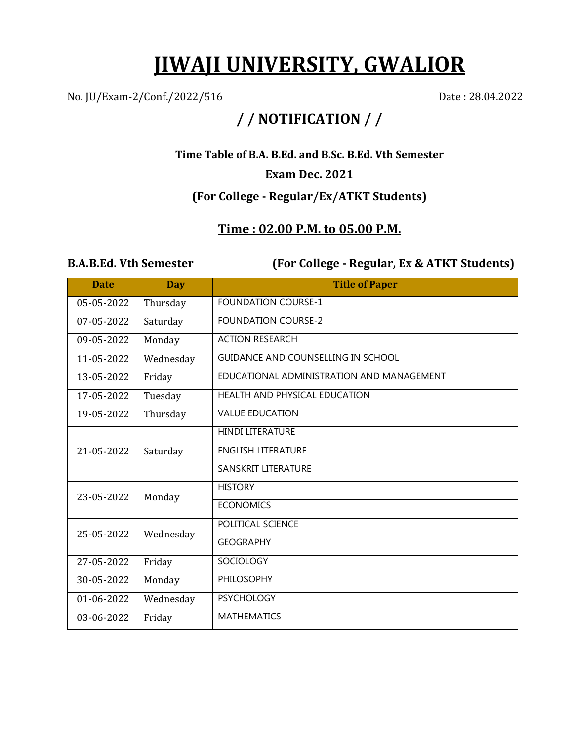# **JIWAJI UNIVERSITY, GWALIOR**

No. JU/Exam-2/Conf./2022/516 Date: 28.04.2022

## **/ / NOTIFICATION / /**

**Time Table of B.A. B.Ed. and B.Sc. B.Ed. Vth Semester**

#### **Exam Dec. 2021**

### **(For College - Regular/Ex/ATKT Students)**

### **Time : 02.00 P.M. to 05.00 P.M.**

**B.A.B.Ed. Vth Semester (For College - Regular, Ex & ATKT Students)**

| <b>Date</b> | <b>Day</b> | <b>Title of Paper</b>                     |
|-------------|------------|-------------------------------------------|
| 05-05-2022  | Thursday   | <b>FOUNDATION COURSE-1</b>                |
| 07-05-2022  | Saturday   | <b>FOUNDATION COURSE-2</b>                |
| 09-05-2022  | Monday     | <b>ACTION RESEARCH</b>                    |
| 11-05-2022  | Wednesday  | <b>GUIDANCE AND COUNSELLING IN SCHOOL</b> |
| 13-05-2022  | Friday     | EDUCATIONAL ADMINISTRATION AND MANAGEMENT |
| 17-05-2022  | Tuesday    | HEALTH AND PHYSICAL EDUCATION             |
| 19-05-2022  | Thursday   | <b>VALUE EDUCATION</b>                    |
| 21-05-2022  | Saturday   | <b>HINDI LITERATURE</b>                   |
|             |            | <b>ENGLISH LITERATURE</b>                 |
|             |            | SANSKRIT LITERATURE                       |
| 23-05-2022  | Monday     | <b>HISTORY</b>                            |
|             |            | <b>ECONOMICS</b>                          |
| 25-05-2022  | Wednesday  | POLITICAL SCIENCE                         |
|             |            | <b>GEOGRAPHY</b>                          |
| 27-05-2022  | Friday     | <b>SOCIOLOGY</b>                          |
| 30-05-2022  | Monday     | <b>PHILOSOPHY</b>                         |
| 01-06-2022  | Wednesday  | <b>PSYCHOLOGY</b>                         |
| 03-06-2022  | Friday     | <b>MATHEMATICS</b>                        |